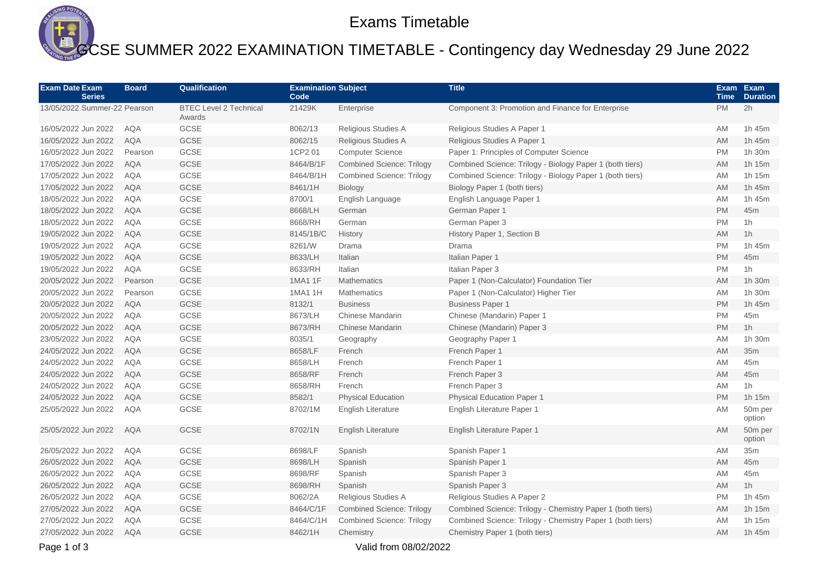

## Exams Timetable

## GCSE SUMMER 2022 EXAMINATION TIMETABLE - Contingency day Wednesday 29 June 2022

| <b>Exam Date Exam</b><br><b>Series</b> | <b>Board</b> | Qualification                           | <b>Examination Subject</b><br>Code |                                  | <b>Title</b>                                               | <b>Time</b> | Exam Exam<br><b>Duration</b> |
|----------------------------------------|--------------|-----------------------------------------|------------------------------------|----------------------------------|------------------------------------------------------------|-------------|------------------------------|
| 13/05/2022 Summer-22 Pearson           |              | <b>BTEC Level 2 Technical</b><br>Awards | 21429K                             | Enterprise                       | Component 3: Promotion and Finance for Enterprise          | <b>PM</b>   | 2h                           |
| 16/05/2022 Jun 2022                    | <b>AQA</b>   | GCSE                                    | 8062/13                            | Religious Studies A              | Religious Studies A Paper 1                                | AM          | 1h 45m                       |
| 16/05/2022 Jun 2022                    | <b>AQA</b>   | GCSE                                    | 8062/15                            | Religious Studies A              | Religious Studies A Paper 1                                | <b>AM</b>   | 1h 45m                       |
| 16/05/2022 Jun 2022                    | Pearson      | GCSE                                    | 1CP2 01                            | <b>Computer Science</b>          | Paper 1: Principles of Computer Science                    | <b>PM</b>   | 1h 30m                       |
| 17/05/2022 Jun 2022                    | <b>AQA</b>   | GCSE                                    | 8464/B/1F                          | <b>Combined Science: Trilogy</b> | Combined Science: Trilogy - Biology Paper 1 (both tiers)   | AM          | 1h 15m                       |
| 17/05/2022 Jun 2022                    | <b>AQA</b>   | GCSE                                    | 8464/B/1H                          | <b>Combined Science: Trilogy</b> | Combined Science: Trilogy - Biology Paper 1 (both tiers)   | <b>AM</b>   | 1h 15m                       |
| 17/05/2022 Jun 2022                    | <b>AQA</b>   | GCSE                                    | 8461/1H                            | Biology                          | Biology Paper 1 (both tiers)                               | <b>AM</b>   | 1h 45m                       |
| 18/05/2022 Jun 2022                    | <b>AQA</b>   | GCSE                                    | 8700/1                             | English Language                 | English Language Paper 1                                   | AM          | 1h 45m                       |
| 18/05/2022 Jun 2022                    | <b>AQA</b>   | GCSE                                    | 8668/LH                            | German                           | German Paper 1                                             | <b>PM</b>   | 45m                          |
| 18/05/2022 Jun 2022                    | AQA          | GCSE                                    | 8668/RH                            | German                           | German Paper 3                                             | <b>PM</b>   | 1h                           |
| 19/05/2022 Jun 2022                    | <b>AQA</b>   | <b>GCSE</b>                             | 8145/1B/C                          | History                          | History Paper 1, Section B                                 | <b>AM</b>   | 1 <sub>h</sub>               |
| 19/05/2022 Jun 2022                    | <b>AQA</b>   | GCSE                                    | 8261/W                             | Drama                            | Drama                                                      | <b>PM</b>   | 1h 45m                       |
| 19/05/2022 Jun 2022                    | <b>AQA</b>   | GCSE                                    | 8633/LH                            | Italian                          | Italian Paper 1                                            | <b>PM</b>   | 45m                          |
| 19/05/2022 Jun 2022                    | <b>AQA</b>   | GCSE                                    | 8633/RH                            | Italian                          | Italian Paper 3                                            | <b>PM</b>   | 1h                           |
| 20/05/2022 Jun 2022                    | Pearson      | <b>GCSE</b>                             | 1MA1 1F                            | <b>Mathematics</b>               | Paper 1 (Non-Calculator) Foundation Tier                   | <b>AM</b>   | 1h 30m                       |
| 20/05/2022 Jun 2022                    | Pearson      | GCSE                                    | 1MA1 1H                            | <b>Mathematics</b>               | Paper 1 (Non-Calculator) Higher Tier                       | AM          | 1h 30m                       |
| 20/05/2022 Jun 2022                    | <b>AQA</b>   | GCSE                                    | 8132/1                             | <b>Business</b>                  | <b>Business Paper 1</b>                                    | <b>PM</b>   | 1h 45m                       |
| 20/05/2022 Jun 2022                    | <b>AQA</b>   | GCSE                                    | 8673/LH                            | Chinese Mandarin                 | Chinese (Mandarin) Paper 1                                 | <b>PM</b>   | 45m                          |
| 20/05/2022 Jun 2022                    | <b>AQA</b>   | GCSE                                    | 8673/RH                            | <b>Chinese Mandarin</b>          | Chinese (Mandarin) Paper 3                                 | <b>PM</b>   | 1h                           |
| 23/05/2022 Jun 2022                    | <b>AQA</b>   | GCSE                                    | 8035/1                             | Geography                        | Geography Paper 1                                          | <b>AM</b>   | 1h 30m                       |
| 24/05/2022 Jun 2022                    | <b>AQA</b>   | GCSE                                    | 8658/LF                            | French                           | French Paper 1                                             | <b>AM</b>   | 35m                          |
| 24/05/2022 Jun 2022                    | <b>AQA</b>   | GCSE                                    | 8658/LH                            | French                           | French Paper 1                                             | AM          | 45m                          |
| 24/05/2022 Jun 2022                    | <b>AQA</b>   | GCSE                                    | 8658/RF                            | French                           | French Paper 3                                             | AM          | 45m                          |
| 24/05/2022 Jun 2022                    | <b>AQA</b>   | GCSE                                    | 8658/RH                            | French                           | French Paper 3                                             | AM          | 1 <sub>h</sub>               |
| 24/05/2022 Jun 2022                    | <b>AQA</b>   | GCSE                                    | 8582/1                             | <b>Physical Education</b>        | <b>Physical Education Paper 1</b>                          | <b>PM</b>   | 1h 15m                       |
| 25/05/2022 Jun 2022                    | <b>AQA</b>   | GCSE                                    | 8702/1M                            | <b>English Literature</b>        | English Literature Paper 1                                 | AM          | 50m per<br>option            |
| 25/05/2022 Jun 2022                    | <b>AQA</b>   | GCSE                                    | 8702/1N                            | <b>English Literature</b>        | English Literature Paper 1                                 | AM          | 50m per<br>option            |
| 26/05/2022 Jun 2022                    | <b>AQA</b>   | <b>GCSE</b>                             | 8698/LF                            | Spanish                          | Spanish Paper 1                                            | AM          | 35m                          |
| 26/05/2022 Jun 2022                    | <b>AQA</b>   | GCSE                                    | 8698/LH                            | Spanish                          | Spanish Paper 1                                            | AM          | 45m                          |
| 26/05/2022 Jun 2022                    | <b>AQA</b>   | GCSE                                    | 8698/RF                            | Spanish                          | Spanish Paper 3                                            | AM          | 45 <sub>m</sub>              |
| 26/05/2022 Jun 2022                    | <b>AQA</b>   | <b>GCSE</b>                             | 8698/RH                            | Spanish                          | Spanish Paper 3                                            | <b>AM</b>   | 1 <sub>h</sub>               |
| 26/05/2022 Jun 2022                    | <b>AQA</b>   | GCSE                                    | 8062/2A                            | Religious Studies A              | Religious Studies A Paper 2                                | <b>PM</b>   | 1h 45m                       |
| 27/05/2022 Jun 2022                    | <b>AQA</b>   | GCSE                                    | 8464/C/1F                          | <b>Combined Science: Trilogy</b> | Combined Science: Trilogy - Chemistry Paper 1 (both tiers) | AM          | 1h 15m                       |
| 27/05/2022 Jun 2022                    | <b>AQA</b>   | GCSE                                    | 8464/C/1H                          | <b>Combined Science: Trilogy</b> | Combined Science: Trilogy - Chemistry Paper 1 (both tiers) | AM          | 1h 15m                       |
| 27/05/2022 Jun 2022                    | <b>AQA</b>   | <b>GCSE</b>                             | 8462/1H                            | Chemistry                        | Chemistry Paper 1 (both tiers)                             | <b>AM</b>   | 1h 45m                       |
|                                        |              |                                         |                                    |                                  |                                                            |             |                              |

Page 1 of 3 Valid from 08/02/2022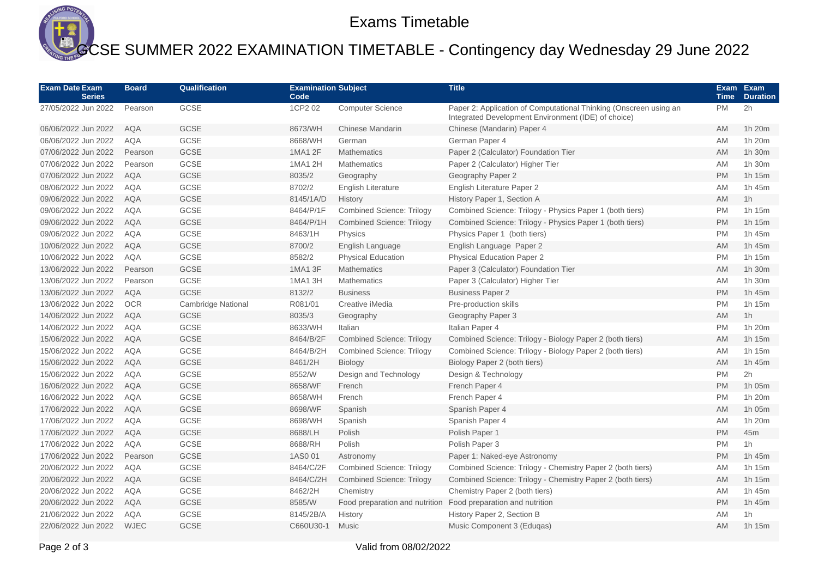

## GCSE SUMMER 2022 EXAMINATION TIMETABLE - Contingency day Wednesday 29 June 2022

| <b>Exam Date Exam</b><br><b>Series</b> | <b>Board</b> | Qualification      | <b>Examination Subject</b><br>Code |                                  | <b>Title</b>                                                                                                             |           | Exam Exam<br><b>Duration</b> |
|----------------------------------------|--------------|--------------------|------------------------------------|----------------------------------|--------------------------------------------------------------------------------------------------------------------------|-----------|------------------------------|
| 27/05/2022 Jun 2022                    | Pearson      | <b>GCSE</b>        | 1CP2 02                            | <b>Computer Science</b>          | Paper 2: Application of Computational Thinking (Onscreen using an<br>Integrated Development Environment (IDE) of choice) | <b>PM</b> | 2h                           |
| 06/06/2022 Jun 2022                    | <b>AQA</b>   | GCSE               | 8673/WH                            | <b>Chinese Mandarin</b>          | Chinese (Mandarin) Paper 4                                                                                               | <b>AM</b> | 1h 20m                       |
| 06/06/2022 Jun 2022                    | <b>AQA</b>   | GCSE               | 8668/WH                            | German                           | German Paper 4                                                                                                           | <b>AM</b> | 1h 20m                       |
| 07/06/2022 Jun 2022                    | Pearson      | GCSE               | 1MA1 2F                            | <b>Mathematics</b>               | Paper 2 (Calculator) Foundation Tier                                                                                     | <b>AM</b> | 1h 30m                       |
| 07/06/2022 Jun 2022                    | Pearson      | GCSE               | 1MA1 2H                            | <b>Mathematics</b>               | Paper 2 (Calculator) Higher Tier                                                                                         | <b>AM</b> | 1h 30m                       |
| 07/06/2022 Jun 2022                    | <b>AQA</b>   | GCSE               | 8035/2                             | Geography                        | Geography Paper 2                                                                                                        | <b>PM</b> | 1h 15m                       |
| 08/06/2022 Jun 2022                    | <b>AQA</b>   | <b>GCSE</b>        | 8702/2                             | <b>English Literature</b>        | English Literature Paper 2                                                                                               | <b>AM</b> | 1h 45m                       |
| 09/06/2022 Jun 2022                    | <b>AQA</b>   | GCSE               | 8145/1A/D                          | History                          | History Paper 1, Section A                                                                                               | AM        | 1 <sub>h</sub>               |
| 09/06/2022 Jun 2022                    | <b>AQA</b>   | GCSE               | 8464/P/1F                          | <b>Combined Science: Trilogy</b> | Combined Science: Trilogy - Physics Paper 1 (both tiers)                                                                 | <b>PM</b> | 1h 15m                       |
| 09/06/2022 Jun 2022                    | <b>AQA</b>   | GCSE               | 8464/P/1H                          | <b>Combined Science: Trilogy</b> | Combined Science: Trilogy - Physics Paper 1 (both tiers)                                                                 | <b>PM</b> | 1h 15m                       |
| 09/06/2022 Jun 2022                    | <b>AQA</b>   | GCSE               | 8463/1H                            | Physics                          | Physics Paper 1 (both tiers)                                                                                             | <b>PM</b> | 1h 45m                       |
| 10/06/2022 Jun 2022                    | <b>AQA</b>   | GCSE               | 8700/2                             | English Language                 | English Language Paper 2                                                                                                 | <b>AM</b> | 1h 45m                       |
| 10/06/2022 Jun 2022                    | <b>AQA</b>   | GCSE               | 8582/2                             | <b>Physical Education</b>        | <b>Physical Education Paper 2</b>                                                                                        | <b>PM</b> | 1h 15m                       |
| 13/06/2022 Jun 2022                    | Pearson      | GCSE               | 1MA1 3F                            | <b>Mathematics</b>               | Paper 3 (Calculator) Foundation Tier                                                                                     | <b>AM</b> | 1h 30m                       |
| 13/06/2022 Jun 2022                    | Pearson      | GCSE               | 1MA1 3H                            | <b>Mathematics</b>               | Paper 3 (Calculator) Higher Tier                                                                                         | <b>AM</b> | 1h 30m                       |
| 13/06/2022 Jun 2022                    | <b>AQA</b>   | GCSE               | 8132/2                             | <b>Business</b>                  | <b>Business Paper 2</b>                                                                                                  | <b>PM</b> | 1h 45m                       |
| 13/06/2022 Jun 2022                    | <b>OCR</b>   | Cambridge National | R081/01                            | Creative iMedia                  | Pre-production skills                                                                                                    | <b>PM</b> | 1h 15m                       |
| 14/06/2022 Jun 2022                    | <b>AQA</b>   | <b>GCSE</b>        | 8035/3                             | Geography                        | Geography Paper 3                                                                                                        | <b>AM</b> | 1 <sub>h</sub>               |
| 14/06/2022 Jun 2022                    | <b>AQA</b>   | GCSE               | 8633/WH                            | Italian                          | Italian Paper 4                                                                                                          | <b>PM</b> | 1h 20m                       |
| 15/06/2022 Jun 2022                    | <b>AQA</b>   | GCSE               | 8464/B/2F                          | <b>Combined Science: Trilogy</b> | Combined Science: Trilogy - Biology Paper 2 (both tiers)                                                                 | AM        | 1h 15m                       |
| 15/06/2022 Jun 2022                    | <b>AQA</b>   | GCSE               | 8464/B/2H                          | <b>Combined Science: Trilogy</b> | Combined Science: Trilogy - Biology Paper 2 (both tiers)                                                                 | AM        | 1h 15m                       |
| 15/06/2022 Jun 2022                    | <b>AQA</b>   | <b>GCSE</b>        | 8461/2H                            | <b>Biology</b>                   | Biology Paper 2 (both tiers)                                                                                             | <b>AM</b> | 1h 45m                       |
| 15/06/2022 Jun 2022                    | <b>AQA</b>   | GCSE               | 8552/W                             | Design and Technology            | Design & Technology                                                                                                      | <b>PM</b> | 2h                           |
| 16/06/2022 Jun 2022                    | <b>AQA</b>   | GCSE               | 8658/WF                            | French                           | French Paper 4                                                                                                           | <b>PM</b> | 1h 05m                       |
| 16/06/2022 Jun 2022                    | <b>AQA</b>   | GCSE               | 8658/WH                            | French                           | French Paper 4                                                                                                           | <b>PM</b> | 1h 20m                       |
| 17/06/2022 Jun 2022                    | <b>AQA</b>   | <b>GCSE</b>        | 8698/WF                            | Spanish                          | Spanish Paper 4                                                                                                          | <b>AM</b> | 1h 05m                       |
| 17/06/2022 Jun 2022                    | <b>AQA</b>   | GCSE               | 8698/WH                            | Spanish                          | Spanish Paper 4                                                                                                          | AM        | 1h 20m                       |
| 17/06/2022 Jun 2022                    | <b>AQA</b>   | GCSE               | 8688/LH                            | Polish                           | Polish Paper 1                                                                                                           | PM        | 45m                          |
| 17/06/2022 Jun 2022                    | <b>AQA</b>   | GCSE               | 8688/RH                            | Polish                           | Polish Paper 3                                                                                                           | <b>PM</b> | 1 <sub>h</sub>               |
| 17/06/2022 Jun 2022                    | Pearson      | GCSE               | 1AS001                             | Astronomy                        | Paper 1: Naked-eye Astronomy                                                                                             | <b>PM</b> | 1h 45m                       |
| 20/06/2022 Jun 2022                    | <b>AQA</b>   | GCSE               | 8464/C/2F                          | <b>Combined Science: Trilogy</b> | Combined Science: Trilogy - Chemistry Paper 2 (both tiers)                                                               | AM        | 1h 15m                       |
| 20/06/2022 Jun 2022                    | <b>AQA</b>   | GCSE               | 8464/C/2H                          | <b>Combined Science: Trilogy</b> | Combined Science: Trilogy - Chemistry Paper 2 (both tiers)                                                               | <b>AM</b> | 1h 15m                       |
| 20/06/2022 Jun 2022                    | <b>AQA</b>   | GCSE               | 8462/2H                            | Chemistry                        | Chemistry Paper 2 (both tiers)                                                                                           | AM        | 1h 45m                       |
| 20/06/2022 Jun 2022                    | <b>AQA</b>   | GCSE               | 8585/W                             | Food preparation and nutrition   | Food preparation and nutrition                                                                                           | <b>PM</b> | 1h 45m                       |
| 21/06/2022 Jun 2022                    | <b>AQA</b>   | GCSE               | 8145/2B/A                          | History                          | History Paper 2, Section B                                                                                               | <b>AM</b> | 1 <sub>h</sub>               |
| 22/06/2022 Jun 2022                    | <b>WJEC</b>  | GCSE               | C660U30-1                          | Music                            | Music Component 3 (Edugas)                                                                                               | <b>AM</b> | 1h 15m                       |